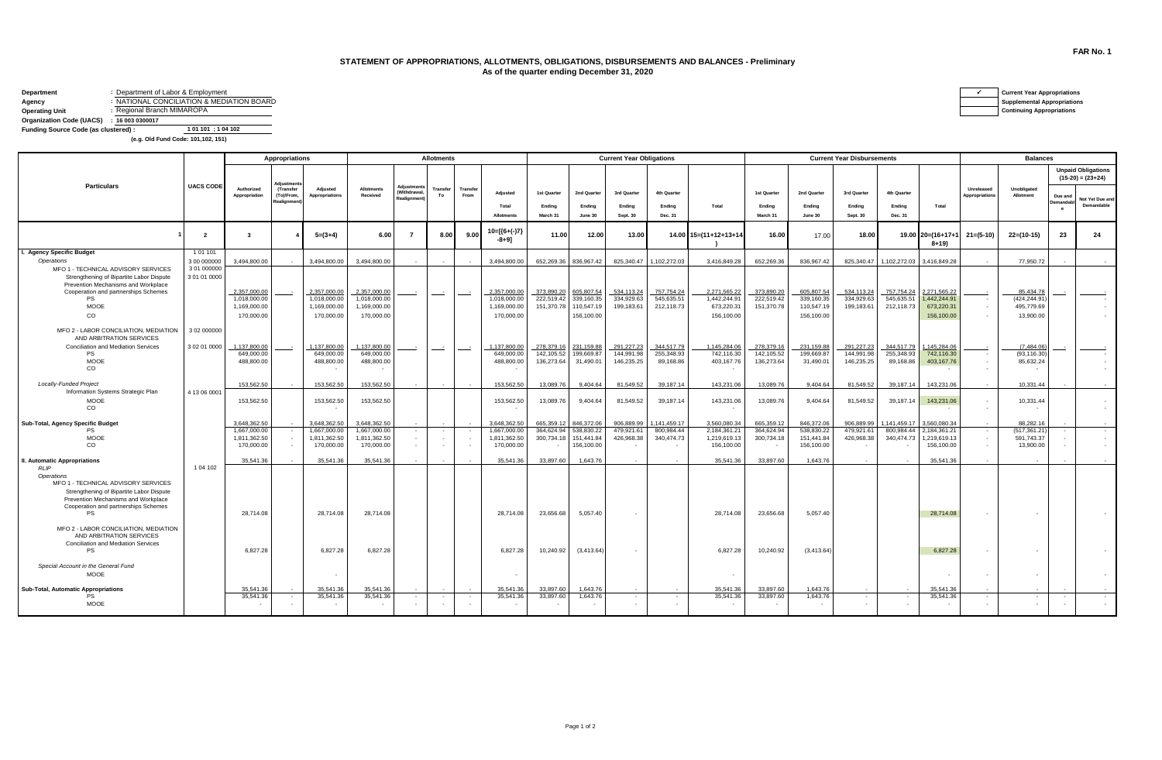## **STATEMENT OF APPROPRIATIONS, ALLOTMENTS, OBLIGATIONS, DISBURSEMENTS AND BALANCES - Preliminary As of the quarter ending December 31, 2020**

| Department                           | : Department of Labor & Employment        | <b>Current Year Appropriations</b> |
|--------------------------------------|-------------------------------------------|------------------------------------|
| Agency                               | : NATIONAL CONCILIATION & MEDIATION BOARD | <b>Supplemental Appropriations</b> |
| <b>Operating Unit</b>                | : Regional Branch MIMAROPA                | <b>Continuing Appropriations</b>   |
| <b>Organization Code (UACS)</b>      | : 160030300017                            |                                    |
| Funding Source Code (as clustered) : | 1 01 101 : 1 04 102                       |                                    |

 **(e.g. Old Fund Code: 101,102, 151)**

|                                                                                 |                  | <b>Appropriations</b>        |                                      |                              | <b>Allotments</b>             |                                      |                |                  |                              | <b>Current Year Obligations</b> |                          |                         |                          |                              | <b>Current Year Disbursements</b> |                          |                          |                          |                              | <b>Balances</b>              |                           |                            |                                                  |  |
|---------------------------------------------------------------------------------|------------------|------------------------------|--------------------------------------|------------------------------|-------------------------------|--------------------------------------|----------------|------------------|------------------------------|---------------------------------|--------------------------|-------------------------|--------------------------|------------------------------|-----------------------------------|--------------------------|--------------------------|--------------------------|------------------------------|------------------------------|---------------------------|----------------------------|--------------------------------------------------|--|
|                                                                                 |                  |                              | diustme                              |                              |                               |                                      |                |                  |                              |                                 | 2nd Quarter<br>Ending    | 3rd Quarter<br>Endina   | 4th Quarter<br>Ending    | Total                        | 1st Quarter<br>Endina             | 2nd Quarter<br>Ending    | 3rd Quarter<br>Ending    | 4th Quarter<br>Ending    |                              |                              |                           |                            | <b>Unpaid Obligations</b><br>$(15-20) = (23+24)$ |  |
| <b>Particulars</b>                                                              | <b>UACS CODE</b> | Authorized<br>Appropriation  | (Transfer<br>(To)/From,<br>Realignme | Adjusted<br>Appropriations   | <b>Allotments</b><br>Received | Adjustme<br>(Withdrawa<br>Realignmen | Transfer<br>To | Transfer<br>From | Adiusted<br>Total            | 1st Quarter<br>Ending           |                          |                         |                          |                              |                                   |                          |                          |                          | Total                        | Unreleased<br>Appropriations | Unobligated<br>Allotment  | Due and<br><b>Demandab</b> | Not Yet Due and<br>Demandable                    |  |
|                                                                                 |                  |                              |                                      |                              |                               |                                      |                |                  | <b>Allotments</b>            | March 31                        | June 30                  | Sept. 30                | Dec. 31                  |                              | March 31                          | June 30                  | Sept. 30                 | Dec. 31                  |                              |                              |                           | $\theta$                   |                                                  |  |
|                                                                                 | $\overline{2}$   | $\mathbf{3}$                 |                                      | $5=(3+4)$                    | 6.00                          | $\overline{7}$                       | 8.00           | 9.00             | 10=[{6+(-)7]<br>$-8 + 91$    | 11.00                           | 12.00                    | 13.00                   |                          | 14.00 15=(11+12+13+1         | 16.00                             | 17.00                    | 18.00                    |                          | 19.00 20=(16+17+<br>$8 + 19$ | $21 = (5-10)$                | $22=(10-15)$              | 23                         | 24                                               |  |
| I. Agency Specific Budget                                                       | 101101           |                              |                                      |                              |                               |                                      |                |                  |                              |                                 |                          |                         |                          |                              |                                   |                          |                          |                          |                              |                              |                           |                            |                                                  |  |
| Operations                                                                      | 3 00 000000      | 3,494,800.00                 |                                      | 3.494.800.00                 | 3.494.800.00                  |                                      |                |                  | 3.494.800.00                 | 652,269.36                      | 836.967.42               |                         | 825,340.47 1,102,272.03  | 3,416,849.28                 | 652,269.36                        | 836,967.42               | 825,340.47               |                          | 1,102,272.03 3,416,849.28    |                              | 77.950.72                 |                            |                                                  |  |
| MFO 1 - TECHNICAL ADVISORY SERVICES                                             | 3 01 000000      |                              |                                      |                              |                               |                                      |                |                  |                              |                                 |                          |                         |                          |                              |                                   |                          |                          |                          |                              |                              |                           |                            |                                                  |  |
| Strengthening of Bipartite Labor Dispute<br>Prevention Mechanisms and Workplace | 3 01 01 0000     |                              |                                      |                              |                               |                                      |                |                  |                              |                                 |                          |                         |                          |                              |                                   |                          |                          |                          |                              |                              |                           |                            |                                                  |  |
| Cooperation and partnerships Schemes                                            |                  | 2,357,000.00                 |                                      | 2,357,000.00                 | 2,357,000.00                  |                                      |                |                  | 2,357,000.00                 | 373,890.20                      | 605,807.54               | 534,113.2               | 757,754.24               | 2,271,565.22                 | 373,890.20                        | 605,807.5                | 534,113.24               | 757,754.24               | 2,271,565.22                 |                              | 85,434.78                 |                            |                                                  |  |
| <b>PS</b>                                                                       |                  | 1.018.000.00                 |                                      | 1.018.000.00                 | 1.018.000.00                  |                                      |                |                  | 1.018.000.00                 | 222.519.42                      | 339,160.35               | 334,929.63              | 545.635.51               | 1.442.244.91                 | 222.519.42                        | 339,160.35               | 334.929.63               | 545.635.5                | 1.442.244.91                 |                              | (424.244.91               |                            |                                                  |  |
| <b>MOOE</b>                                                                     |                  | 1,169,000.00                 |                                      | 1,169,000.00                 | 1,169,000.00                  |                                      |                |                  | 1,169,000.00                 | 151,370.78                      | 110,547.19               | 199,183.61              | 212,118.73               | 673,220.31                   | 151,370.78                        | 110,547.19               | 199,183.61               | 212,118.73               | 673,220.31                   |                              | 495,779.69                |                            |                                                  |  |
| co                                                                              |                  | 170,000.00                   |                                      | 170,000.00                   | 170,000.00                    |                                      |                |                  | 170,000.00                   |                                 | 156,100.00               |                         |                          | 156,100.00                   |                                   | 156,100.00               |                          |                          | 156,100.00                   |                              | 13,900.00                 |                            |                                                  |  |
| MFO 2 - LABOR CONCILIATION, MEDIATION<br>AND ARBITRATION SERVICES               | 3 02 000000      |                              |                                      |                              |                               |                                      |                |                  |                              |                                 |                          |                         |                          |                              |                                   |                          |                          |                          |                              |                              |                           |                            |                                                  |  |
| <b>Conciliation and Mediation Services</b>                                      | 3 02 01 0000     | 1,137,800.00                 |                                      | 1,137,800.00                 | 1,137,800.00                  |                                      |                | $\sim$           | 1,137,800.00                 | 278,379.16                      | 231,159.88               | 291,227.2               | 344,517.79               | 1.145.284.06                 | 278,379.16                        | 231,159.88               | 291,227.23               | 344.517.79               | 1,145,284.06                 |                              | (7,484.06)                |                            |                                                  |  |
| <b>PS</b><br><b>MOOE</b>                                                        |                  | 649,000.00<br>488,800.00     |                                      | 649,000.00<br>488,800.00     | 649,000.00                    |                                      |                |                  | 649,000.00<br>488,800.00     | 142.105.52                      | 199.669.87               | 144.991.98              | 255.348.93               | 742.116.30                   | 142.105.52                        | 199,669.87               | 144.991.98<br>146,235.25 | 255,348.93               | 742,116.30                   |                              | (93, 116.30)              |                            |                                                  |  |
| <b>CO</b>                                                                       |                  |                              |                                      |                              | 488,800.00                    |                                      |                |                  |                              | 136,273.64                      | 31,490.01                | 146,235.25              | 89,168.86                | 403,167.76                   | 136,273.64                        | 31,490.01                |                          | 89,168.86                | 403,167.76                   |                              | 85,632.24                 |                            |                                                  |  |
| <b>Locally-Funded Project</b>                                                   |                  | 153,562.50                   |                                      | 153,562,50                   | 153.562.50                    |                                      |                |                  | 153,562.50                   | 13.089.76                       | 9.404.64                 | 81.549.52               | 39.187.14                | 143.231.06                   | 13,089.76                         | 9.404.64                 | 81.549.52                | 39.187.14                | 143.231.06                   |                              | 10.331.44                 |                            |                                                  |  |
| Information Systems Strategic Plan                                              | 4 13 06 0001     |                              |                                      |                              |                               |                                      |                |                  |                              |                                 |                          |                         |                          |                              |                                   |                          |                          |                          |                              |                              |                           |                            |                                                  |  |
| <b>MOOE</b><br><b>CO</b>                                                        |                  | 153,562.50                   |                                      | 153,562.50                   | 153,562.50                    |                                      |                |                  | 153,562.50                   | 13,089.76                       | 9,404.64                 | 81,549.52               | 39,187.14                | 143,231.06                   | 13,089.76                         | 9,404.64                 | 81,549.52                | 39,187.14                | 143,231.06                   | $\sim$                       | 10,331.44<br>$\sim$       |                            |                                                  |  |
| Sub-Total, Agency Specific Budget                                               |                  | 3,648,362.50                 |                                      | 3.648.362.50                 | 3,648,362.50                  |                                      |                |                  | 3.648.362.50                 | 665.359.12<br>364.624.94        | 846.372.06<br>538.830.22 | 906,889.99<br>479.921.6 | .141.459.1               | 3.560.080.34                 | 665,359.12                        | 846,372.06               | 906,889.99<br>479.921.61 | .141.459.1<br>800.984.44 | 3.560.080.34                 |                              | 88,282.16                 |                            |                                                  |  |
| <b>PS</b><br>MOOE                                                               |                  | 1,667,000.00<br>1,811,362.50 |                                      | 1,667,000.00<br>1,811,362.50 | 1,667,000.00<br>1,811,362.50  |                                      |                |                  | 1,667,000.00<br>1,811,362.50 | 300,734.18                      | 151,441.84               | 426,968.38              | 800,984.44<br>340,474.73 | 2,184,361.21<br>1,219,619.13 | 364,624.94<br>300,734.18          | 538,830.22<br>151,441.84 | 426,968.38               | 340,474.73               | 2,184,361.21<br>1,219,619.13 | $\sim$                       | (517,361.21<br>591,743.37 |                            |                                                  |  |
| <b>CO</b>                                                                       |                  | 170,000,00                   |                                      | 170,000.00                   | 170,000.00                    |                                      | $\sim$         |                  | 170,000.00                   |                                 | 156,100.00               |                         |                          | 156,100.00                   |                                   | 156,100.00               |                          |                          | 156,100,00                   |                              | 13,900.00                 |                            |                                                  |  |
|                                                                                 |                  |                              |                                      |                              |                               |                                      |                |                  |                              |                                 |                          |                         |                          |                              |                                   |                          |                          |                          |                              |                              |                           |                            |                                                  |  |
| II. Automatic Appropriations<br><b>RLIP</b>                                     | 1 04 102         | 35.541.36                    |                                      | 35.541.36                    | 35.541.36                     |                                      |                |                  | 35.541.36                    | 33.897.60                       | 1.643.76                 |                         |                          | 35.541.36                    | 33,897.60                         | 1.643.76                 |                          |                          | 35.541.36                    |                              |                           |                            |                                                  |  |
| Operations<br>MFO 1 - TECHNICAL ADVISORY SERVICES                               |                  |                              |                                      |                              |                               |                                      |                |                  |                              |                                 |                          |                         |                          |                              |                                   |                          |                          |                          |                              |                              |                           |                            |                                                  |  |
| Strengthening of Bipartite Labor Dispute                                        |                  |                              |                                      |                              |                               |                                      |                |                  |                              |                                 |                          |                         |                          |                              |                                   |                          |                          |                          |                              |                              |                           |                            |                                                  |  |
| Prevention Mechanisms and Workplace<br>Cooperation and partnerships Schemes     |                  |                              |                                      |                              |                               |                                      |                |                  |                              |                                 |                          |                         |                          |                              |                                   |                          |                          |                          |                              |                              |                           |                            |                                                  |  |
| <b>PS</b>                                                                       |                  | 28.714.08                    |                                      | 28,714.08                    | 28.714.08                     |                                      |                |                  | 28.714.08                    | 23,656.68                       | 5,057.40                 |                         |                          | 28,714.08                    | 23,656.68                         | 5,057.40                 |                          |                          | 28,714.08                    |                              |                           |                            |                                                  |  |
| MFO 2 - LABOR CONCILIATION, MEDIATION<br>AND ARBITRATION SERVICES               |                  |                              |                                      |                              |                               |                                      |                |                  |                              |                                 |                          |                         |                          |                              |                                   |                          |                          |                          |                              |                              |                           |                            |                                                  |  |
| Conciliation and Mediation Services<br><b>PS</b>                                |                  | 6,827.28                     |                                      | 6,827.28                     | 6,827.28                      |                                      |                |                  | 6,827.28                     | 10,240.92                       | (3,413.64)               |                         |                          | 6,827.28                     | 10,240.92                         | (3, 413.64)              |                          |                          | 6,827.28                     |                              |                           |                            |                                                  |  |
| Special Account in the General Fund<br><b>MOOE</b>                              |                  |                              |                                      |                              |                               |                                      |                |                  |                              |                                 |                          |                         |                          |                              |                                   |                          |                          |                          |                              |                              |                           |                            |                                                  |  |
| Sub-Total, Automatic Appropriations                                             |                  | 35.541.36                    |                                      | 35.541.36                    | 35.541.36                     |                                      |                |                  | 35.541.36                    | 33.897.60                       | 1.643.76                 |                         |                          | 35.541.36                    | 33,897.60                         | 1.643.76                 |                          |                          | 35.541.36                    |                              |                           |                            |                                                  |  |
| PS                                                                              |                  | 35,541.36                    |                                      | 35,541.36                    | 35,541.36                     |                                      |                |                  | 35,541.36                    | 33,897.60                       | 1,643.76                 |                         |                          | 35,541.36                    | 33,897.60                         | 1,643.76                 |                          |                          | 35,541.36                    |                              | $\overline{\phantom{a}}$  |                            |                                                  |  |
| <b>MOOE</b>                                                                     |                  | $\overline{\phantom{a}}$     |                                      |                              |                               |                                      |                |                  |                              |                                 | $\sim$                   |                         |                          |                              |                                   | $\sim$                   |                          |                          |                              |                              | $\epsilon$                |                            |                                                  |  |

**FAR No. 1**